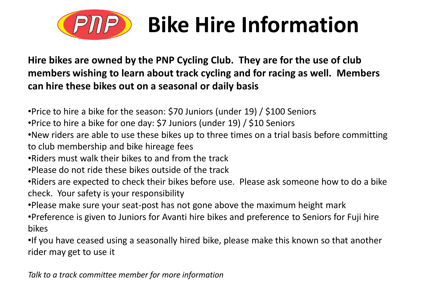

## **Bike Hire Information**

**Hire bikes are owned by the PNP Cycling Club. They are for the use of club members wishing to learn about track cycling and for racing as well. Members can hire these bikes out on a seasonal or daily basis**

•Price to hire a bike for the season: \$70 Juniors (under 19) / \$100 Seniors

•Price to hire a bike for one day: \$7 Juniors (under 19) / \$10 Seniors

•New riders are able to use these bikes up to three times on a trial basis before committing to club membership and bike hireage fees

- •Riders must walk their bikes to and from the track
- •Please do not ride these bikes outside of the track
- •Riders are expected to check their bikes before use. Please ask someone how to do a bike check. Your safety is your responsibility
- •Please make sure your seat-post has not gone above the maximum height mark
- •Preference is given to Juniors for Avanti hire bikes and preference to Seniors for Fuji hire bikes

•If you have ceased using a seasonally hired bike, please make this known so that another rider may get to use it

*Talk to a track committee member for more information*